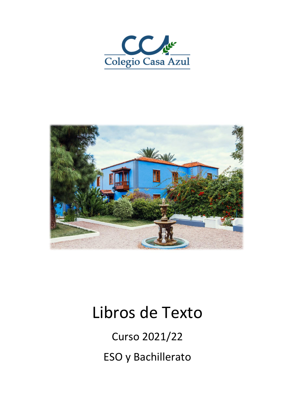



# Libros de Texto

Curso 2021/22 ESO y Bachillerato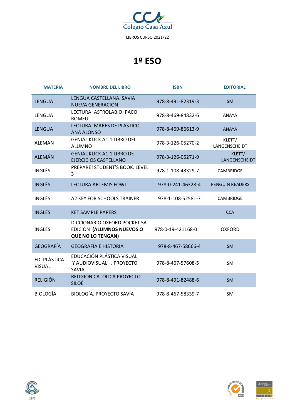

| <b>MATERIA</b>                | <b>NOMBRE DEL LIBRO</b>                                                               | <b>ISBN</b>       | <b>EDITORIAL</b>        |
|-------------------------------|---------------------------------------------------------------------------------------|-------------------|-------------------------|
| <b>LENGUA</b>                 | LENGUA CASTELLANA, SAVIA<br>NUEVA GENERACIÓN                                          | 978-8-491-82319-3 | <b>SM</b>               |
| <b>LENGUA</b>                 | LECTURA: ASTROLABIO, PACO<br><b>ROMEU</b>                                             | 978-8-469-84832-6 | <b>ANAYA</b>            |
| <b>LENGUA</b>                 | LECTURA: MARES DE PLÁSTICO.<br><b>ANA ALONSO</b>                                      | 978-8-469-86613-9 | <b>ANAYA</b>            |
| <b>ALEMÁN</b>                 | <b>GENIAL KLICK A1.1 LIBRO DEL</b><br><b>ALUMNO</b>                                   | 978-3-126-05270-2 | KLETT/<br>LANGENSCHEIDT |
| <b>ALEMÁN</b>                 | <b>GENIAL KLICK A1.1 LIBRO DE</b><br><b>EJERCICIOS CASTELLANO</b>                     | 978-3-126-05271-9 | KLETT/<br>LANGENSCHEIDT |
| <b>INGLÉS</b>                 | PREPARE! STUDENT'S BOOK. LEVEL<br>3                                                   | 978-1-108-43329-7 | CAMBRIDGE               |
| <b>INGLÉS</b>                 | <b>LECTURA ARTEMIS FOWL</b>                                                           | 978-0-241-46328-4 | <b>PENGUIN READERS</b>  |
| <b>INGLÉS</b>                 | A2 KEY FOR SCHOOLS TRAINER                                                            | 978-1-108-52581-7 | CAMBRIDGE               |
| <b>INGLÉS</b>                 | <b>KET SAMPLE PAPERS</b>                                                              |                   | <b>CCA</b>              |
| <b>INGLÉS</b>                 | DICCIONARIO OXFORD POCKET 5ª<br>EDICIÓN (ALUMNOS NUEVOS O<br><b>QUE NO LO TENGAN)</b> | 978-0-19-421168-0 | <b>OXFORD</b>           |
| <b>GEOGRAFÍA</b>              | <b>GEOGRAFÍA E HISTORIA</b>                                                           | 978-8-467-58666-4 | <b>SM</b>               |
| ED. PLÁSTICA<br><b>VISUAL</b> | EDUCACIÓN PLÁSTICA VISUAL<br>Y AUDIOVISUAL I. PROYECTO<br><b>SAVIA</b>                | 978-8-467-57608-5 | <b>SM</b>               |
| <b>RELIGIÓN</b>               | RELIGIÓN CATÓLICA PROYECTO<br><b>SILOÉ</b>                                            | 978-8-491-82488-6 | <b>SM</b>               |
| <b>BIOLOGÍA</b>               | <b>BIOLOGÍA, PROYECTO SAVIA</b>                                                       | 978-8-467-58339-7 | <b>SM</b>               |





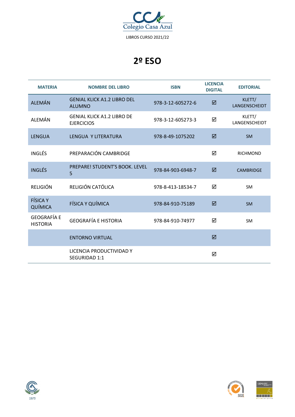

| <b>MATERIA</b>                        | <b>NOMBRE DEL LIBRO</b>                                | <b>ISBN</b>       | <b>LICENCIA</b><br><b>DIGITAL</b> | <b>EDITORIAL</b>               |
|---------------------------------------|--------------------------------------------------------|-------------------|-----------------------------------|--------------------------------|
| <b>ALEMÁN</b>                         | <b>GENIAL KLICK A1.2 LIBRO DEL</b><br><b>ALUMNO</b>    | 978-3-12-605272-6 | ☑                                 | KLETT/<br><b>LANGENSCHEIDT</b> |
| <b>ALEMÁN</b>                         | <b>GENIAL KLICK A1.2 LIBRO DE</b><br><b>EJERCICIOS</b> | 978-3-12-605273-3 | ☑                                 | KLETT/<br>LANGENSCHEIDT        |
| LENGUA                                | LENGUA Y LITERATURA                                    | 978-8-49-1075202  | ☑                                 | <b>SM</b>                      |
| <b>INGLÉS</b>                         | PREPARACIÓN CAMBRIDGE                                  |                   | ☑                                 | <b>RICHMOND</b>                |
| <b>INGLÉS</b>                         | PREPARE! STUDENT'S BOOK. LEVEL<br>5                    | 978-84-903-6948-7 | ☑                                 | <b>CAMBRIDGE</b>               |
| <b>RELIGIÓN</b>                       | RELIGIÓN CATÓLICA                                      | 978-8-413-18534-7 | ☑                                 | <b>SM</b>                      |
| <b>FÍSICA Y</b><br>QUÍMICA            | FÍSICA Y QUÍMICA                                       | 978-84-910-75189  | ☑                                 | <b>SM</b>                      |
| <b>GEOGRAFÍA E</b><br><b>HISTORIA</b> | <b>GEOGRAFÍA E HISTORIA</b>                            | 978-84-910-74977  | ☑                                 | <b>SM</b>                      |
|                                       | <b>ENTORNO VIRTUAL</b>                                 |                   | ☑                                 |                                |
|                                       | LICENCIA PRODUCTIVIDAD Y<br>SEGURIDAD 1:1              |                   | ☑                                 |                                |



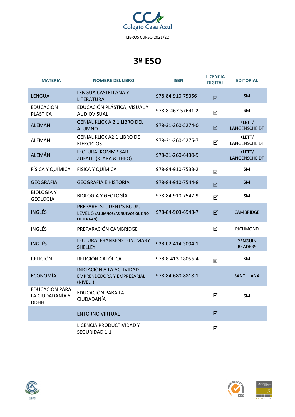

| <b>MATERIA</b>                                   | <b>NOMBRE DEL LIBRO</b>                                                            | <b>ISBN</b>       | <b>LICENCIA</b><br><b>DIGITAL</b> | <b>EDITORIAL</b>                 |
|--------------------------------------------------|------------------------------------------------------------------------------------|-------------------|-----------------------------------|----------------------------------|
| <b>LENGUA</b>                                    | LENGUA CASTELLANA Y<br><b>LITERATURA</b>                                           | 978-84-910-75356  | ☑                                 | <b>SM</b>                        |
| <b>EDUCACIÓN</b><br>PLÁSTICA                     | EDUCACIÓN PLÁSTICA, VISUAL Y<br><b>AUDIOVISUAL II</b>                              | 978-8-467-57641-2 | ☑                                 | <b>SM</b>                        |
| <b>ALEMÁN</b>                                    | <b>GENIAL KLICK A 2.1 LIBRO DEL</b><br><b>ALUMNO</b>                               | 978-31-260-5274-0 | $\boxtimes$                       | KLETT/<br>LANGENSCHEIDT          |
| <b>ALEMÁN</b>                                    | <b>GENIAL KLICK A2.1 LIBRO DE</b><br><b>EJERCICIOS</b>                             | 978-31-260-5275-7 | ☑                                 | KLETT/<br>LANGENSCHEIDT          |
| <b>ALEMÁN</b>                                    | LECTURA. KOMMISSAR<br>ZUFALL (KLARA & THEO)                                        | 978-31-260-6430-9 |                                   | KLETT/<br>LANGENSCHEIDT          |
| FÍSICA Y QUÍMICA                                 | FÍSICA Y QUÍMICA                                                                   | 978-84-910-7533-2 | ☑                                 | <b>SM</b>                        |
| <b>GEOGRAFÍA</b>                                 | <b>GEOGRAFÍA E HISTORIA</b>                                                        | 978-84-910-7544-8 | ☑                                 | <b>SM</b>                        |
| <b>BIOLOGÍA Y</b><br>GEOLOGÍA                    | <b>BIOLOGÍA Y GEOLOGÍA</b>                                                         | 978-84-910-7547-9 | ☑                                 | <b>SM</b>                        |
| <b>INGLÉS</b>                                    | PREPARE! STUDENT'S BOOK.<br>LEVEL 5 (ALUMNOS/AS NUEVOS QUE NO<br><b>LO TENGAN)</b> | 978-84-903-6948-7 | ☑                                 | <b>CAMBRIDGE</b>                 |
| <b>INGLÉS</b>                                    | PREPARACIÓN CAMBRIDGE                                                              |                   | ☑                                 | <b>RICHMOND</b>                  |
| <b>INGLÉS</b>                                    | LECTURA: FRANKENSTEIN: MARY<br><b>SHELLEY</b>                                      | 928-02-414-3094-1 |                                   | <b>PENGUIN</b><br><b>READERS</b> |
| <b>RELIGIÓN</b>                                  | RELIGIÓN CATÓLICA                                                                  | 978-8-413-18056-4 | ☑                                 | <b>SM</b>                        |
| <b>ECONOMÍA</b>                                  | INICIACIÓN A LA ACTIVIDAD<br>EMPRENDEDORA Y EMPRESARIAL<br>(NIVEL I)               | 978-84-680-8818-1 |                                   | SANTILLANA                       |
| EDUCACIÓN PARA<br>LA CIUDADANÍA Y<br><b>DDHH</b> | EDUCACIÓN PARA LA<br>CIUDADANÍA                                                    |                   | ☑                                 | <b>SM</b>                        |
|                                                  | <b>ENTORNO VIRTUAL</b>                                                             |                   | ☑                                 |                                  |
|                                                  | LICENCIA PRODUCTIVIDAD Y<br>SEGURIDAD 1:1                                          |                   | ☑                                 |                                  |



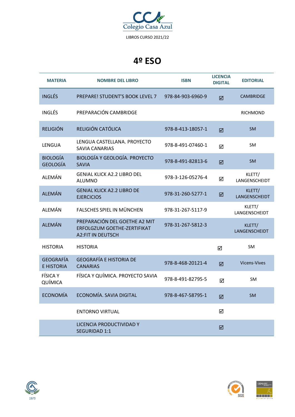

| <b>MATERIA</b>                        | <b>NOMBRE DEL LIBRO</b>                                                                  | <b>ISBN</b>       | <b>LICENCIA</b><br><b>DIGITAL</b> | <b>EDITORIAL</b>        |
|---------------------------------------|------------------------------------------------------------------------------------------|-------------------|-----------------------------------|-------------------------|
| <b>INGLÉS</b>                         | PREPARE! STUDENT'S BOOK LEVEL 7                                                          | 978-84-903-6960-9 | $\overline{\mathbf{M}}$           | <b>CAMBRIDGE</b>        |
| <b>INGLÉS</b>                         | PREPARACIÓN CAMBRIDGE                                                                    |                   |                                   | <b>RICHMOND</b>         |
| <b>RELIGIÓN</b>                       | RELIGIÓN CATÓLICA                                                                        | 978-8-413-18057-1 | ☑                                 | <b>SM</b>               |
| LENGUA                                | LENGUA CASTELLANA. PROYECTO<br><b>SAVIA CANARIAS</b>                                     | 978-8-491-07460-1 | ☑                                 | SM                      |
| <b>BIOLOGÍA</b><br><b>GEOLOGÍA</b>    | <b>BIOLOGÍA Y GEOLOGÍA. PROYECTO</b><br><b>SAVIA</b>                                     | 978-8-491-82813-6 | ☑                                 | <b>SM</b>               |
| ALEMÁN                                | <b>GENIAL KLICK A2.2 LIBRO DEL</b><br><b>ALUMNO</b>                                      | 978-3-126-05276-4 | ☑                                 | KLETT/<br>LANGENSCHEIDT |
| <b>ALEMÁN</b>                         | <b>GENIAL KLICK A2.2 LIBRO DE</b><br><b>EJERCICIOS</b>                                   | 978-31-260-5277-1 | ☑                                 | KLETT/<br>LANGENSCHEIDT |
| ALEMÁN                                | <b>FALSCHES SPIEL IN MÜNCHEN</b>                                                         | 978-31-267-5117-9 |                                   | KLETT/<br>LANGENSCHEIDT |
| <b>ALEMÁN</b>                         | PREPARACIÓN DEL GOETHE A2 MIT<br>ERFOLGZUM GOETHE-ZERTIFIKAT<br><b>A2:FIT IN DEUTSCH</b> | 978-31-267-5812-3 |                                   | KLETT/<br>LANGENSCHEIDT |
| <b>HISTORIA</b>                       | <b>HISTORIA</b>                                                                          |                   | ☑                                 | SM                      |
| <b>GEOGRAFÍA</b><br><b>E HISTORIA</b> | <b>GEOGRAFÍA E HISTORIA DE</b><br><b>CANARIAS</b>                                        | 978-8-468-20121-4 | ☑                                 | <b>Vicens-Vives</b>     |
| <b>FÍSICA Y</b><br>QUÍMICA            | FÍSICA Y QUÍMICA. PROYECTO SAVIA                                                         | 978-8-491-82795-5 | ☑                                 | <b>SM</b>               |
| <b>ECONOMÍA</b>                       | ECONOMÍA. SAVIA DIGITAL                                                                  | 978-8-467-58795-1 | ☑                                 | <b>SM</b>               |
|                                       | <b>ENTORNO VIRTUAL</b>                                                                   |                   | ☑                                 |                         |
|                                       | LICENCIA PRODUCTIVIDAD Y<br>SEGURIDAD 1:1                                                |                   | ☑                                 |                         |



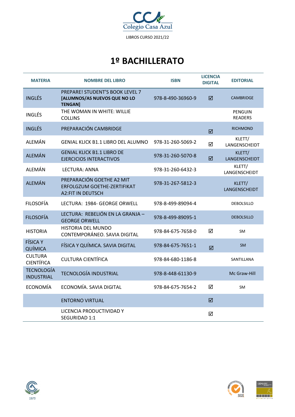

# **1º BACHILLERATO**

| <b>MATERIA</b>                         | <b>NOMBRE DEL LIBRO</b>                                                              | <b>ISBN</b>       | <b>LICENCIA</b><br><b>DIGITAL</b> | <b>EDITORIAL</b>                 |
|----------------------------------------|--------------------------------------------------------------------------------------|-------------------|-----------------------------------|----------------------------------|
| <b>INGLÉS</b>                          | PREPARE! STUDENT'S BOOK LEVEL 7<br>[ALUMNOS/AS NUEVOS QUE NO LO<br><b>TENGAN]</b>    | 978-8-490-36960-9 | ☑                                 | <b>CAMBRIDGE</b>                 |
| <b>INGLÉS</b>                          | THE WOMAN IN WHITE: WILLIE<br><b>COLLINS</b>                                         |                   |                                   | <b>PENGUIN</b><br><b>READERS</b> |
| <b>INGLÉS</b>                          | PREPARACIÓN CAMBRIDGE                                                                |                   | ☑                                 | <b>RICHMOND</b>                  |
| <b>ALEMÁN</b>                          | <b>GENIAL KLICK B1.1 LIBRO DEL ALUMNO</b>                                            | 978-31-260-5069-2 | ☑                                 | KLETT/<br>LANGENSCHEIDT          |
| <b>ALEMÁN</b>                          | <b>GENIAL KLICK B1.1 LIBRO DE</b><br><b>EJERCICIOS INTERACTIVOS</b>                  | 978-31-260-5070-8 | ☑                                 | KLETT/<br>LANGENSCHEIDT          |
| ALEMÁN                                 | LECTURA: ANNA                                                                        | 978-31-260-6432-3 |                                   | KLETT/<br>LANGENSCHEIDT          |
| <b>ALEMÁN</b>                          | PREPARACIÓN GOETHE A2 MIT<br>ERFOLGZUM GOETHE-ZERTIFIKAT<br><b>A2:FIT IN DEUTSCH</b> | 978-31-267-5812-3 |                                   | KLETT/<br>LANGENSCHEIDT          |
| <b>FILOSOFÍA</b>                       | LECTURA: 1984- GEORGE ORWELL                                                         | 978-8-499-89094-4 |                                   | <b>DEBOLSILLO</b>                |
| <b>FILOSOFÍA</b>                       | LECTURA: REBELIÓN EN LA GRANJA -<br><b>GEORGE ORWELL</b>                             | 978-8-499-89095-1 |                                   | <b>DEBOLSILLO</b>                |
| <b>HISTORIA</b>                        | HISTORIA DEL MUNDO<br>CONTEMPORÁNEO. SAVIA DIGITAL                                   | 978-84-675-7658-0 | ☑                                 | <b>SM</b>                        |
| <b>FÍSICA Y</b><br>QUÍMICA             | FÍSICA Y QUÍMICA. SAVIA DIGITAL                                                      | 978-84-675-7651-1 | ☑                                 | <b>SM</b>                        |
| <b>CULTURA</b><br><b>CIENTÍFICA</b>    | <b>CULTURA CIENTÍFICA</b>                                                            | 978-84-680-1186-8 |                                   | SANTILLANA                       |
| <b>TECNOLOGÍA</b><br><b>INDUSTRIAL</b> | <b>TECNOLOGÍA INDUSTRIAL</b>                                                         | 978-8-448-61130-9 |                                   | Mc Graw-Hill                     |
| ECONOMÍA                               | ECONOMÍA. SAVIA DIGITAL                                                              | 978-84-675-7654-2 | ☑                                 | <b>SM</b>                        |
|                                        | <b>ENTORNO VIRTUAL</b>                                                               |                   | ☑                                 |                                  |
|                                        | LICENCIA PRODUCTIVIDAD Y<br>SEGURIDAD 1:1                                            |                   | ☑                                 |                                  |